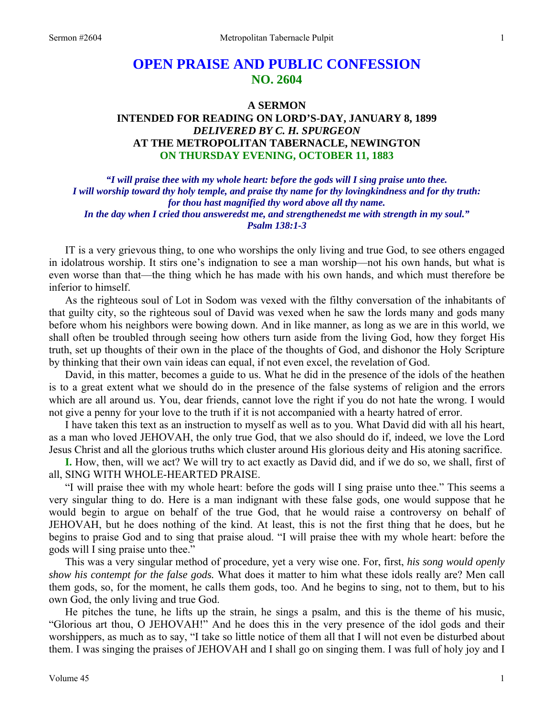# **OPEN PRAISE AND PUBLIC CONFESSION NO. 2604**

## **A SERMON INTENDED FOR READING ON LORD'S-DAY, JANUARY 8, 1899**  *DELIVERED BY C. H. SPURGEON*  **AT THE METROPOLITAN TABERNACLE, NEWINGTON ON THURSDAY EVENING, OCTOBER 11, 1883**

*"I will praise thee with my whole heart: before the gods will I sing praise unto thee. I will worship toward thy holy temple, and praise thy name for thy lovingkindness and for thy truth: for thou hast magnified thy word above all thy name. In the day when I cried thou answeredst me, and strengthenedst me with strength in my soul." Psalm 138:1-3* 

IT is a very grievous thing, to one who worships the only living and true God, to see others engaged in idolatrous worship. It stirs one's indignation to see a man worship—not his own hands, but what is even worse than that—the thing which he has made with his own hands, and which must therefore be inferior to himself.

 As the righteous soul of Lot in Sodom was vexed with the filthy conversation of the inhabitants of that guilty city, so the righteous soul of David was vexed when he saw the lords many and gods many before whom his neighbors were bowing down. And in like manner, as long as we are in this world, we shall often be troubled through seeing how others turn aside from the living God, how they forget His truth, set up thoughts of their own in the place of the thoughts of God, and dishonor the Holy Scripture by thinking that their own vain ideas can equal, if not even excel, the revelation of God.

 David, in this matter, becomes a guide to us. What he did in the presence of the idols of the heathen is to a great extent what we should do in the presence of the false systems of religion and the errors which are all around us. You, dear friends, cannot love the right if you do not hate the wrong. I would not give a penny for your love to the truth if it is not accompanied with a hearty hatred of error.

 I have taken this text as an instruction to myself as well as to you. What David did with all his heart, as a man who loved JEHOVAH, the only true God, that we also should do if, indeed, we love the Lord Jesus Christ and all the glorious truths which cluster around His glorious deity and His atoning sacrifice.

**I.** How, then, will we act? We will try to act exactly as David did, and if we do so, we shall, first of all, SING WITH WHOLE-HEARTED PRAISE.

 "I will praise thee with my whole heart: before the gods will I sing praise unto thee." This seems a very singular thing to do. Here is a man indignant with these false gods, one would suppose that he would begin to argue on behalf of the true God, that he would raise a controversy on behalf of JEHOVAH, but he does nothing of the kind. At least, this is not the first thing that he does, but he begins to praise God and to sing that praise aloud. "I will praise thee with my whole heart: before the gods will I sing praise unto thee."

 This was a very singular method of procedure, yet a very wise one. For, first, *his song would openly show his contempt for the false gods.* What does it matter to him what these idols really are? Men call them gods, so, for the moment, he calls them gods, too. And he begins to sing, not to them, but to his own God, the only living and true God.

 He pitches the tune, he lifts up the strain, he sings a psalm, and this is the theme of his music, "Glorious art thou, O JEHOVAH!" And he does this in the very presence of the idol gods and their worshippers, as much as to say, "I take so little notice of them all that I will not even be disturbed about them. I was singing the praises of JEHOVAH and I shall go on singing them. I was full of holy joy and I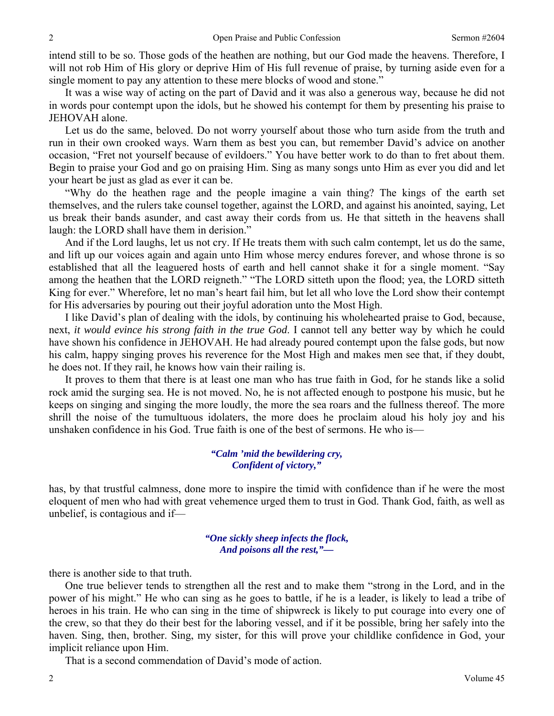intend still to be so. Those gods of the heathen are nothing, but our God made the heavens. Therefore, I will not rob Him of His glory or deprive Him of His full revenue of praise, by turning aside even for a single moment to pay any attention to these mere blocks of wood and stone."

 It was a wise way of acting on the part of David and it was also a generous way, because he did not in words pour contempt upon the idols, but he showed his contempt for them by presenting his praise to JEHOVAH alone.

 Let us do the same, beloved. Do not worry yourself about those who turn aside from the truth and run in their own crooked ways. Warn them as best you can, but remember David's advice on another occasion, "Fret not yourself because of evildoers." You have better work to do than to fret about them. Begin to praise your God and go on praising Him. Sing as many songs unto Him as ever you did and let your heart be just as glad as ever it can be.

 "Why do the heathen rage and the people imagine a vain thing? The kings of the earth set themselves, and the rulers take counsel together, against the LORD, and against his anointed, saying, Let us break their bands asunder, and cast away their cords from us. He that sitteth in the heavens shall laugh: the LORD shall have them in derision."

 And if the Lord laughs, let us not cry. If He treats them with such calm contempt, let us do the same, and lift up our voices again and again unto Him whose mercy endures forever, and whose throne is so established that all the leaguered hosts of earth and hell cannot shake it for a single moment. "Say among the heathen that the LORD reigneth." "The LORD sitteth upon the flood; yea, the LORD sitteth King for ever." Wherefore, let no man's heart fail him, but let all who love the Lord show their contempt for His adversaries by pouring out their joyful adoration unto the Most High.

 I like David's plan of dealing with the idols, by continuing his wholehearted praise to God, because, next, *it would evince his strong faith in the true God*. I cannot tell any better way by which he could have shown his confidence in JEHOVAH. He had already poured contempt upon the false gods, but now his calm, happy singing proves his reverence for the Most High and makes men see that, if they doubt, he does not. If they rail, he knows how vain their railing is.

 It proves to them that there is at least one man who has true faith in God, for he stands like a solid rock amid the surging sea. He is not moved. No, he is not affected enough to postpone his music, but he keeps on singing and singing the more loudly, the more the sea roars and the fullness thereof. The more shrill the noise of the tumultuous idolaters, the more does he proclaim aloud his holy joy and his unshaken confidence in his God. True faith is one of the best of sermons. He who is—

> *"Calm 'mid the bewildering cry, Confident of victory,"*

has, by that trustful calmness, done more to inspire the timid with confidence than if he were the most eloquent of men who had with great vehemence urged them to trust in God. Thank God, faith, as well as unbelief, is contagious and if—

#### *"One sickly sheep infects the flock, And poisons all the rest,"—*

there is another side to that truth.

 One true believer tends to strengthen all the rest and to make them "strong in the Lord, and in the power of his might." He who can sing as he goes to battle, if he is a leader, is likely to lead a tribe of heroes in his train. He who can sing in the time of shipwreck is likely to put courage into every one of the crew, so that they do their best for the laboring vessel, and if it be possible, bring her safely into the haven. Sing, then, brother. Sing, my sister, for this will prove your childlike confidence in God, your implicit reliance upon Him.

That is a second commendation of David's mode of action.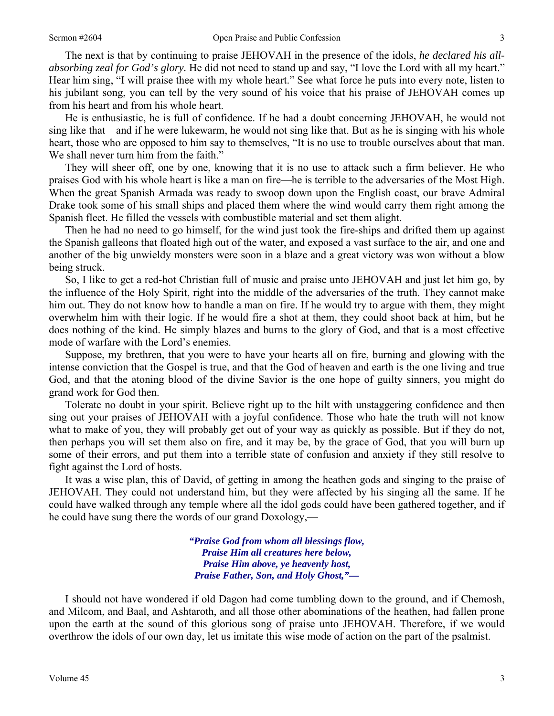The next is that by continuing to praise JEHOVAH in the presence of the idols, *he declared his allabsorbing zeal for God's glory.* He did not need to stand up and say, "I love the Lord with all my heart." Hear him sing, "I will praise thee with my whole heart." See what force he puts into every note, listen to his jubilant song, you can tell by the very sound of his voice that his praise of JEHOVAH comes up from his heart and from his whole heart.

 He is enthusiastic, he is full of confidence. If he had a doubt concerning JEHOVAH, he would not sing like that—and if he were lukewarm, he would not sing like that. But as he is singing with his whole heart, those who are opposed to him say to themselves, "It is no use to trouble ourselves about that man. We shall never turn him from the faith."

 They will sheer off, one by one, knowing that it is no use to attack such a firm believer. He who praises God with his whole heart is like a man on fire—he is terrible to the adversaries of the Most High. When the great Spanish Armada was ready to swoop down upon the English coast, our brave Admiral Drake took some of his small ships and placed them where the wind would carry them right among the Spanish fleet. He filled the vessels with combustible material and set them alight.

 Then he had no need to go himself, for the wind just took the fire-ships and drifted them up against the Spanish galleons that floated high out of the water, and exposed a vast surface to the air, and one and another of the big unwieldy monsters were soon in a blaze and a great victory was won without a blow being struck.

 So, I like to get a red-hot Christian full of music and praise unto JEHOVAH and just let him go, by the influence of the Holy Spirit, right into the middle of the adversaries of the truth. They cannot make him out. They do not know how to handle a man on fire. If he would try to argue with them, they might overwhelm him with their logic. If he would fire a shot at them, they could shoot back at him, but he does nothing of the kind. He simply blazes and burns to the glory of God, and that is a most effective mode of warfare with the Lord's enemies.

 Suppose, my brethren, that you were to have your hearts all on fire, burning and glowing with the intense conviction that the Gospel is true, and that the God of heaven and earth is the one living and true God, and that the atoning blood of the divine Savior is the one hope of guilty sinners, you might do grand work for God then.

 Tolerate no doubt in your spirit. Believe right up to the hilt with unstaggering confidence and then sing out your praises of JEHOVAH with a joyful confidence. Those who hate the truth will not know what to make of you, they will probably get out of your way as quickly as possible. But if they do not, then perhaps you will set them also on fire, and it may be, by the grace of God, that you will burn up some of their errors, and put them into a terrible state of confusion and anxiety if they still resolve to fight against the Lord of hosts.

 It was a wise plan, this of David, of getting in among the heathen gods and singing to the praise of JEHOVAH. They could not understand him, but they were affected by his singing all the same. If he could have walked through any temple where all the idol gods could have been gathered together, and if he could have sung there the words of our grand Doxology,—

> *"Praise God from whom all blessings flow, Praise Him all creatures here below, Praise Him above, ye heavenly host, Praise Father, Son, and Holy Ghost,"—*

 I should not have wondered if old Dagon had come tumbling down to the ground, and if Chemosh, and Milcom, and Baal, and Ashtaroth, and all those other abominations of the heathen, had fallen prone upon the earth at the sound of this glorious song of praise unto JEHOVAH. Therefore, if we would overthrow the idols of our own day, let us imitate this wise mode of action on the part of the psalmist.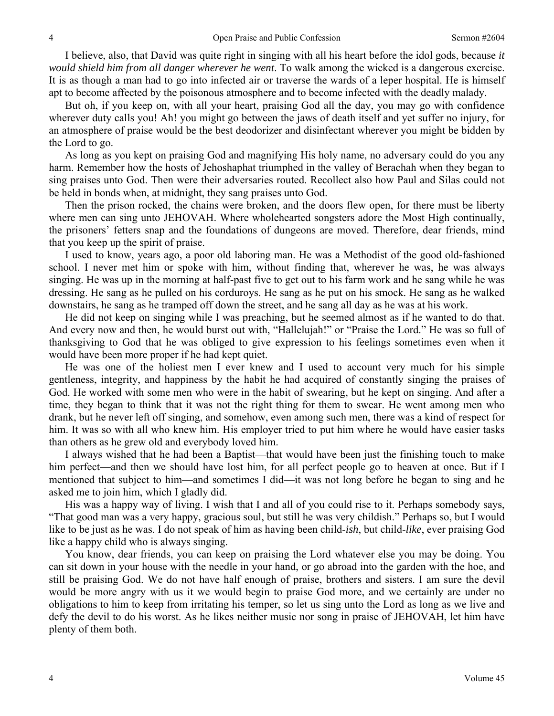I believe, also, that David was quite right in singing with all his heart before the idol gods, because *it would shield him from all danger wherever he went*. To walk among the wicked is a dangerous exercise. It is as though a man had to go into infected air or traverse the wards of a leper hospital. He is himself apt to become affected by the poisonous atmosphere and to become infected with the deadly malady.

 But oh, if you keep on, with all your heart, praising God all the day, you may go with confidence wherever duty calls you! Ah! you might go between the jaws of death itself and yet suffer no injury, for an atmosphere of praise would be the best deodorizer and disinfectant wherever you might be bidden by the Lord to go.

 As long as you kept on praising God and magnifying His holy name, no adversary could do you any harm. Remember how the hosts of Jehoshaphat triumphed in the valley of Berachah when they began to sing praises unto God. Then were their adversaries routed. Recollect also how Paul and Silas could not be held in bonds when, at midnight, they sang praises unto God.

 Then the prison rocked, the chains were broken, and the doors flew open, for there must be liberty where men can sing unto JEHOVAH. Where wholehearted songsters adore the Most High continually, the prisoners' fetters snap and the foundations of dungeons are moved. Therefore, dear friends, mind that you keep up the spirit of praise.

 I used to know, years ago, a poor old laboring man. He was a Methodist of the good old-fashioned school. I never met him or spoke with him, without finding that, wherever he was, he was always singing. He was up in the morning at half-past five to get out to his farm work and he sang while he was dressing. He sang as he pulled on his corduroys. He sang as he put on his smock. He sang as he walked downstairs, he sang as he tramped off down the street, and he sang all day as he was at his work.

 He did not keep on singing while I was preaching, but he seemed almost as if he wanted to do that. And every now and then, he would burst out with, "Hallelujah!" or "Praise the Lord." He was so full of thanksgiving to God that he was obliged to give expression to his feelings sometimes even when it would have been more proper if he had kept quiet.

 He was one of the holiest men I ever knew and I used to account very much for his simple gentleness, integrity, and happiness by the habit he had acquired of constantly singing the praises of God. He worked with some men who were in the habit of swearing, but he kept on singing. And after a time, they began to think that it was not the right thing for them to swear. He went among men who drank, but he never left off singing, and somehow, even among such men, there was a kind of respect for him. It was so with all who knew him. His employer tried to put him where he would have easier tasks than others as he grew old and everybody loved him.

 I always wished that he had been a Baptist—that would have been just the finishing touch to make him perfect—and then we should have lost him, for all perfect people go to heaven at once. But if I mentioned that subject to him—and sometimes I did—it was not long before he began to sing and he asked me to join him, which I gladly did.

 His was a happy way of living. I wish that I and all of you could rise to it. Perhaps somebody says, "That good man was a very happy, gracious soul, but still he was very childish." Perhaps so, but I would like to be just as he was. I do not speak of him as having been child-*ish*, but child-*like*, ever praising God like a happy child who is always singing.

 You know, dear friends, you can keep on praising the Lord whatever else you may be doing. You can sit down in your house with the needle in your hand, or go abroad into the garden with the hoe, and still be praising God. We do not have half enough of praise, brothers and sisters. I am sure the devil would be more angry with us it we would begin to praise God more, and we certainly are under no obligations to him to keep from irritating his temper, so let us sing unto the Lord as long as we live and defy the devil to do his worst. As he likes neither music nor song in praise of JEHOVAH, let him have plenty of them both.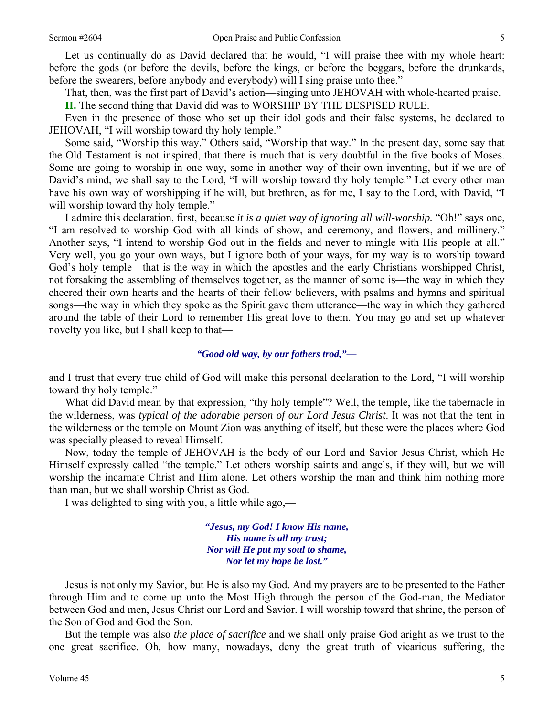Let us continually do as David declared that he would, "I will praise thee with my whole heart: before the gods (or before the devils, before the kings, or before the beggars, before the drunkards, before the swearers, before anybody and everybody) will I sing praise unto thee."

That, then, was the first part of David's action—singing unto JEHOVAH with whole-hearted praise.

**II.** The second thing that David did was to WORSHIP BY THE DESPISED RULE.

 Even in the presence of those who set up their idol gods and their false systems, he declared to JEHOVAH, "I will worship toward thy holy temple."

 Some said, "Worship this way." Others said, "Worship that way." In the present day, some say that the Old Testament is not inspired, that there is much that is very doubtful in the five books of Moses. Some are going to worship in one way, some in another way of their own inventing, but if we are of David's mind, we shall say to the Lord, "I will worship toward thy holy temple." Let every other man have his own way of worshipping if he will, but brethren, as for me, I say to the Lord, with David, "I will worship toward thy holy temple."

 I admire this declaration, first, because *it is a quiet way of ignoring all will-worship.* "Oh!" says one, "I am resolved to worship God with all kinds of show, and ceremony, and flowers, and millinery." Another says, "I intend to worship God out in the fields and never to mingle with His people at all." Very well, you go your own ways, but I ignore both of your ways, for my way is to worship toward God's holy temple—that is the way in which the apostles and the early Christians worshipped Christ, not forsaking the assembling of themselves together, as the manner of some is—the way in which they cheered their own hearts and the hearts of their fellow believers, with psalms and hymns and spiritual songs—the way in which they spoke as the Spirit gave them utterance—the way in which they gathered around the table of their Lord to remember His great love to them. You may go and set up whatever novelty you like, but I shall keep to that—

## *"Good old way, by our fathers trod,"—*

and I trust that every true child of God will make this personal declaration to the Lord, "I will worship toward thy holy temple."

What did David mean by that expression, "thy holy temple"? Well, the temple, like the tabernacle in the wilderness, was *typical of the adorable person of our Lord Jesus Christ*. It was not that the tent in the wilderness or the temple on Mount Zion was anything of itself, but these were the places where God was specially pleased to reveal Himself.

 Now, today the temple of JEHOVAH is the body of our Lord and Savior Jesus Christ, which He Himself expressly called "the temple." Let others worship saints and angels, if they will, but we will worship the incarnate Christ and Him alone. Let others worship the man and think him nothing more than man, but we shall worship Christ as God.

I was delighted to sing with you, a little while ago,—

*"Jesus, my God! I know His name, His name is all my trust; Nor will He put my soul to shame, Nor let my hope be lost."* 

 Jesus is not only my Savior, but He is also my God. And my prayers are to be presented to the Father through Him and to come up unto the Most High through the person of the God-man, the Mediator between God and men, Jesus Christ our Lord and Savior. I will worship toward that shrine, the person of the Son of God and God the Son.

 But the temple was also *the place of sacrifice* and we shall only praise God aright as we trust to the one great sacrifice. Oh, how many, nowadays, deny the great truth of vicarious suffering, the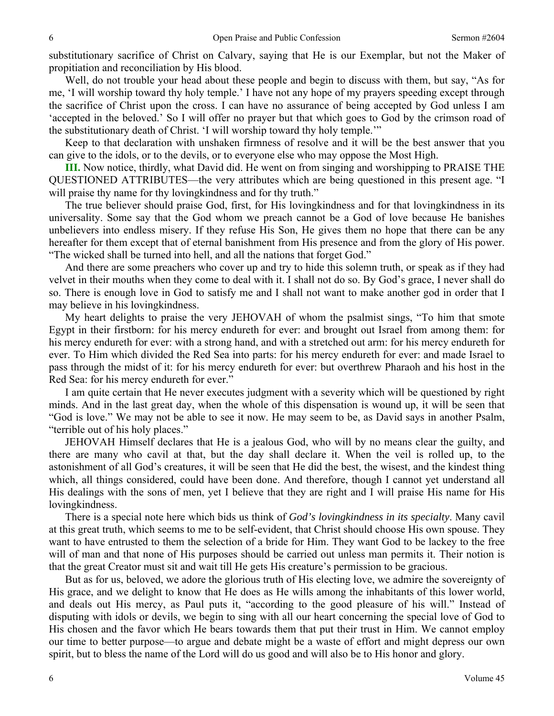substitutionary sacrifice of Christ on Calvary, saying that He is our Exemplar, but not the Maker of propitiation and reconciliation by His blood.

 Well, do not trouble your head about these people and begin to discuss with them, but say, "As for me, 'I will worship toward thy holy temple.' I have not any hope of my prayers speeding except through the sacrifice of Christ upon the cross. I can have no assurance of being accepted by God unless I am 'accepted in the beloved.' So I will offer no prayer but that which goes to God by the crimson road of the substitutionary death of Christ. 'I will worship toward thy holy temple.'"

 Keep to that declaration with unshaken firmness of resolve and it will be the best answer that you can give to the idols, or to the devils, or to everyone else who may oppose the Most High.

**III.** Now notice, thirdly, what David did. He went on from singing and worshipping to PRAISE THE QUESTIONED ATTRIBUTES—the very attributes which are being questioned in this present age. "I will praise thy name for thy loving kindness and for thy truth."

 The true believer should praise God, first, for His lovingkindness and for that lovingkindness in its universality. Some say that the God whom we preach cannot be a God of love because He banishes unbelievers into endless misery. If they refuse His Son, He gives them no hope that there can be any hereafter for them except that of eternal banishment from His presence and from the glory of His power. "The wicked shall be turned into hell, and all the nations that forget God."

 And there are some preachers who cover up and try to hide this solemn truth, or speak as if they had velvet in their mouths when they come to deal with it. I shall not do so. By God's grace, I never shall do so. There is enough love in God to satisfy me and I shall not want to make another god in order that I may believe in his lovingkindness.

 My heart delights to praise the very JEHOVAH of whom the psalmist sings, "To him that smote Egypt in their firstborn: for his mercy endureth for ever: and brought out Israel from among them: for his mercy endureth for ever: with a strong hand, and with a stretched out arm: for his mercy endureth for ever. To Him which divided the Red Sea into parts: for his mercy endureth for ever: and made Israel to pass through the midst of it: for his mercy endureth for ever: but overthrew Pharaoh and his host in the Red Sea: for his mercy endureth for ever."

 I am quite certain that He never executes judgment with a severity which will be questioned by right minds. And in the last great day, when the whole of this dispensation is wound up, it will be seen that "God is love." We may not be able to see it now. He may seem to be, as David says in another Psalm, "terrible out of his holy places."

 JEHOVAH Himself declares that He is a jealous God, who will by no means clear the guilty, and there are many who cavil at that, but the day shall declare it. When the veil is rolled up, to the astonishment of all God's creatures, it will be seen that He did the best, the wisest, and the kindest thing which, all things considered, could have been done. And therefore, though I cannot yet understand all His dealings with the sons of men, yet I believe that they are right and I will praise His name for His lovingkindness.

 There is a special note here which bids us think of *God's lovingkindness in its specialty*. Many cavil at this great truth, which seems to me to be self-evident, that Christ should choose His own spouse. They want to have entrusted to them the selection of a bride for Him. They want God to be lackey to the free will of man and that none of His purposes should be carried out unless man permits it. Their notion is that the great Creator must sit and wait till He gets His creature's permission to be gracious.

 But as for us, beloved, we adore the glorious truth of His electing love, we admire the sovereignty of His grace, and we delight to know that He does as He wills among the inhabitants of this lower world, and deals out His mercy, as Paul puts it, "according to the good pleasure of his will." Instead of disputing with idols or devils, we begin to sing with all our heart concerning the special love of God to His chosen and the favor which He bears towards them that put their trust in Him. We cannot employ our time to better purpose—to argue and debate might be a waste of effort and might depress our own spirit, but to bless the name of the Lord will do us good and will also be to His honor and glory.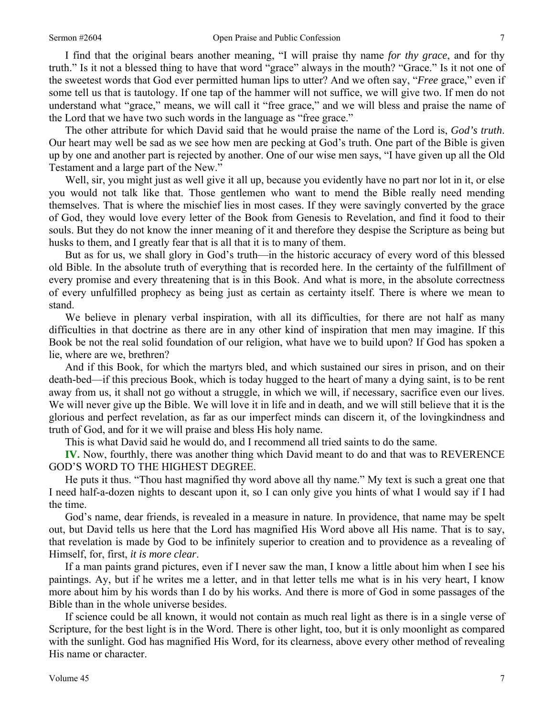I find that the original bears another meaning, "I will praise thy name *for thy grace*, and for thy truth." Is it not a blessed thing to have that word "grace" always in the mouth? "Grace." Is it not one of the sweetest words that God ever permitted human lips to utter? And we often say, "*Free* grace," even if some tell us that is tautology. If one tap of the hammer will not suffice, we will give two. If men do not understand what "grace," means, we will call it "free grace," and we will bless and praise the name of the Lord that we have two such words in the language as "free grace."

 The other attribute for which David said that he would praise the name of the Lord is, *God's truth*. Our heart may well be sad as we see how men are pecking at God's truth. One part of the Bible is given up by one and another part is rejected by another. One of our wise men says, "I have given up all the Old Testament and a large part of the New."

 Well, sir, you might just as well give it all up, because you evidently have no part nor lot in it, or else you would not talk like that. Those gentlemen who want to mend the Bible really need mending themselves. That is where the mischief lies in most cases. If they were savingly converted by the grace of God, they would love every letter of the Book from Genesis to Revelation, and find it food to their souls. But they do not know the inner meaning of it and therefore they despise the Scripture as being but husks to them, and I greatly fear that is all that it is to many of them.

 But as for us, we shall glory in God's truth—in the historic accuracy of every word of this blessed old Bible. In the absolute truth of everything that is recorded here. In the certainty of the fulfillment of every promise and every threatening that is in this Book. And what is more, in the absolute correctness of every unfulfilled prophecy as being just as certain as certainty itself. There is where we mean to stand.

 We believe in plenary verbal inspiration, with all its difficulties, for there are not half as many difficulties in that doctrine as there are in any other kind of inspiration that men may imagine. If this Book be not the real solid foundation of our religion, what have we to build upon? If God has spoken a lie, where are we, brethren?

 And if this Book, for which the martyrs bled, and which sustained our sires in prison, and on their death-bed—if this precious Book, which is today hugged to the heart of many a dying saint, is to be rent away from us, it shall not go without a struggle, in which we will, if necessary, sacrifice even our lives. We will never give up the Bible. We will love it in life and in death, and we will still believe that it is the glorious and perfect revelation, as far as our imperfect minds can discern it, of the lovingkindness and truth of God, and for it we will praise and bless His holy name.

This is what David said he would do, and I recommend all tried saints to do the same.

**IV.** Now, fourthly, there was another thing which David meant to do and that was to REVERENCE GOD'S WORD TO THE HIGHEST DEGREE.

 He puts it thus. "Thou hast magnified thy word above all thy name." My text is such a great one that I need half-a-dozen nights to descant upon it, so I can only give you hints of what I would say if I had the time.

 God's name, dear friends, is revealed in a measure in nature. In providence, that name may be spelt out, but David tells us here that the Lord has magnified His Word above all His name. That is to say, that revelation is made by God to be infinitely superior to creation and to providence as a revealing of Himself, for, first, *it is more clear*.

 If a man paints grand pictures, even if I never saw the man, I know a little about him when I see his paintings. Ay, but if he writes me a letter, and in that letter tells me what is in his very heart, I know more about him by his words than I do by his works. And there is more of God in some passages of the Bible than in the whole universe besides.

 If science could be all known, it would not contain as much real light as there is in a single verse of Scripture, for the best light is in the Word. There is other light, too, but it is only moonlight as compared with the sunlight. God has magnified His Word, for its clearness, above every other method of revealing His name or character.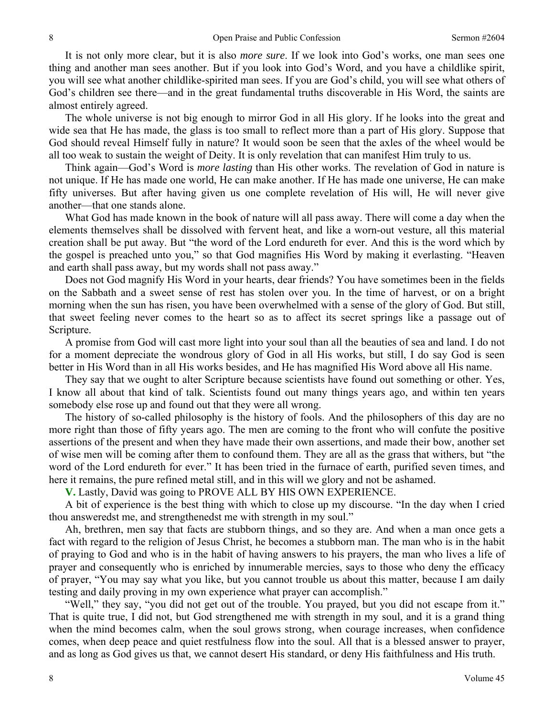It is not only more clear, but it is also *more sure*. If we look into God's works, one man sees one thing and another man sees another. But if you look into God's Word, and you have a childlike spirit, you will see what another childlike-spirited man sees. If you are God's child, you will see what others of God's children see there—and in the great fundamental truths discoverable in His Word, the saints are almost entirely agreed.

 The whole universe is not big enough to mirror God in all His glory. If he looks into the great and wide sea that He has made, the glass is too small to reflect more than a part of His glory. Suppose that God should reveal Himself fully in nature? It would soon be seen that the axles of the wheel would be all too weak to sustain the weight of Deity. It is only revelation that can manifest Him truly to us.

 Think again—God's Word is *more lasting* than His other works. The revelation of God in nature is not unique. If He has made one world, He can make another. If He has made one universe, He can make fifty universes. But after having given us one complete revelation of His will, He will never give another—that one stands alone.

 What God has made known in the book of nature will all pass away. There will come a day when the elements themselves shall be dissolved with fervent heat, and like a worn-out vesture, all this material creation shall be put away. But "the word of the Lord endureth for ever. And this is the word which by the gospel is preached unto you," so that God magnifies His Word by making it everlasting. "Heaven and earth shall pass away, but my words shall not pass away."

 Does not God magnify His Word in your hearts, dear friends? You have sometimes been in the fields on the Sabbath and a sweet sense of rest has stolen over you. In the time of harvest, or on a bright morning when the sun has risen, you have been overwhelmed with a sense of the glory of God. But still, that sweet feeling never comes to the heart so as to affect its secret springs like a passage out of Scripture.

 A promise from God will cast more light into your soul than all the beauties of sea and land. I do not for a moment depreciate the wondrous glory of God in all His works, but still, I do say God is seen better in His Word than in all His works besides, and He has magnified His Word above all His name.

 They say that we ought to alter Scripture because scientists have found out something or other. Yes, I know all about that kind of talk. Scientists found out many things years ago, and within ten years somebody else rose up and found out that they were all wrong.

 The history of so-called philosophy is the history of fools. And the philosophers of this day are no more right than those of fifty years ago. The men are coming to the front who will confute the positive assertions of the present and when they have made their own assertions, and made their bow, another set of wise men will be coming after them to confound them. They are all as the grass that withers, but "the word of the Lord endureth for ever." It has been tried in the furnace of earth, purified seven times, and here it remains, the pure refined metal still, and in this will we glory and not be ashamed.

**V.** Lastly, David was going to PROVE ALL BY HIS OWN EXPERIENCE.

 A bit of experience is the best thing with which to close up my discourse. "In the day when I cried thou answeredst me, and strengthenedst me with strength in my soul."

 Ah, brethren, men say that facts are stubborn things, and so they are. And when a man once gets a fact with regard to the religion of Jesus Christ, he becomes a stubborn man. The man who is in the habit of praying to God and who is in the habit of having answers to his prayers, the man who lives a life of prayer and consequently who is enriched by innumerable mercies, says to those who deny the efficacy of prayer, "You may say what you like, but you cannot trouble us about this matter, because I am daily testing and daily proving in my own experience what prayer can accomplish."

 "Well," they say, "you did not get out of the trouble. You prayed, but you did not escape from it." That is quite true, I did not, but God strengthened me with strength in my soul, and it is a grand thing when the mind becomes calm, when the soul grows strong, when courage increases, when confidence comes, when deep peace and quiet restfulness flow into the soul. All that is a blessed answer to prayer, and as long as God gives us that, we cannot desert His standard, or deny His faithfulness and His truth.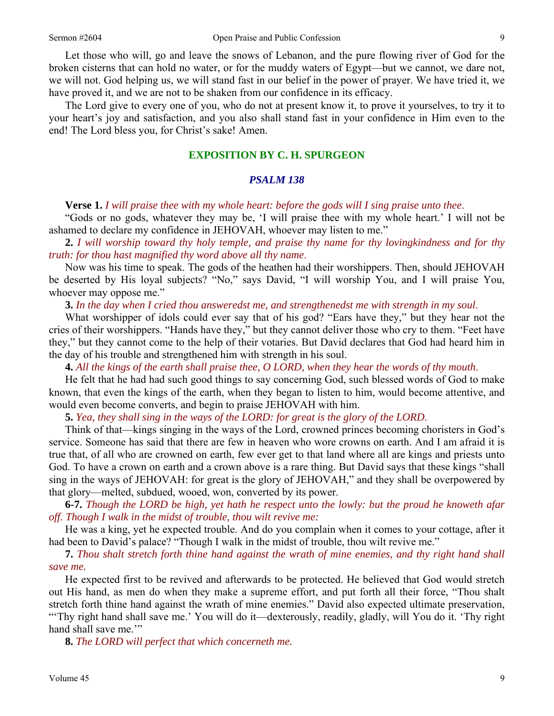Let those who will, go and leave the snows of Lebanon, and the pure flowing river of God for the broken cisterns that can hold no water, or for the muddy waters of Egypt—but we cannot, we dare not, we will not. God helping us, we will stand fast in our belief in the power of prayer. We have tried it, we have proved it, and we are not to be shaken from our confidence in its efficacy.

 The Lord give to every one of you, who do not at present know it, to prove it yourselves, to try it to your heart's joy and satisfaction, and you also shall stand fast in your confidence in Him even to the end! The Lord bless you, for Christ's sake! Amen.

## **EXPOSITION BY C. H. SPURGEON**

#### *PSALM 138*

**Verse 1.** *I will praise thee with my whole heart: before the gods will I sing praise unto thee*.

"Gods or no gods, whatever they may be, 'I will praise thee with my whole heart.' I will not be ashamed to declare my confidence in JEHOVAH, whoever may listen to me."

**2.** *I will worship toward thy holy temple, and praise thy name for thy lovingkindness and for thy truth: for thou hast magnified thy word above all thy name*.

 Now was his time to speak. The gods of the heathen had their worshippers. Then, should JEHOVAH be deserted by His loyal subjects? "No," says David, "I will worship You, and I will praise You, whoever may oppose me."

**3.** *In the day when I cried thou answeredst me, and strengthenedst me with strength in my soul*.

 What worshipper of idols could ever say that of his god? "Ears have they," but they hear not the cries of their worshippers. "Hands have they," but they cannot deliver those who cry to them. "Feet have they," but they cannot come to the help of their votaries. But David declares that God had heard him in the day of his trouble and strengthened him with strength in his soul.

 **4.** *All the kings of the earth shall praise thee, O LORD, when they hear the words of thy mouth*.

 He felt that he had had such good things to say concerning God, such blessed words of God to make known, that even the kings of the earth, when they began to listen to him, would become attentive, and would even become converts, and begin to praise JEHOVAH with him.

**5.** *Yea, they shall sing in the ways of the LORD: for great is the glory of the LORD*.

Think of that—kings singing in the ways of the Lord, crowned princes becoming choristers in God's service. Someone has said that there are few in heaven who wore crowns on earth. And I am afraid it is true that, of all who are crowned on earth, few ever get to that land where all are kings and priests unto God. To have a crown on earth and a crown above is a rare thing. But David says that these kings "shall sing in the ways of JEHOVAH: for great is the glory of JEHOVAH," and they shall be overpowered by that glory—melted, subdued, wooed, won, converted by its power.

**6-7.** *Though the LORD be high, yet hath he respect unto the lowly: but the proud he knoweth afar off. Though I walk in the midst of trouble, thou wilt revive me:*

 He was a king, yet he expected trouble. And do you complain when it comes to your cottage, after it had been to David's palace? "Though I walk in the midst of trouble, thou wilt revive me."

**7.** *Thou shalt stretch forth thine hand against the wrath of mine enemies, and thy right hand shall save me.*

 He expected first to be revived and afterwards to be protected. He believed that God would stretch out His hand, as men do when they make a supreme effort, and put forth all their force, "Thou shalt stretch forth thine hand against the wrath of mine enemies." David also expected ultimate preservation, "'Thy right hand shall save me.' You will do it—dexterously, readily, gladly, will You do it. 'Thy right hand shall save me.""

**8.** *The LORD will perfect that which concerneth me.*